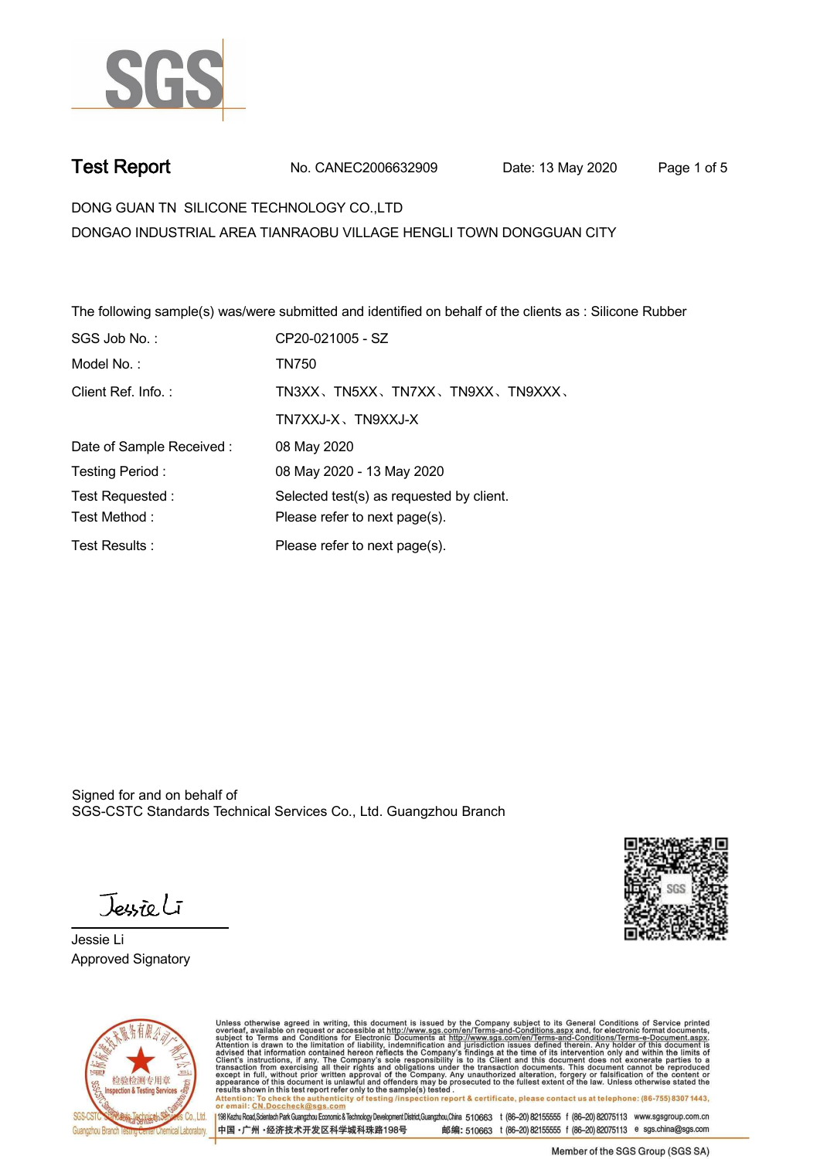

**Test Report. No. CANEC2006632909 Date: 13 May 2020 . Page 1 of 5.**

**DONG GUAN TN SILICONE TECHNOLOGY CO.,LTD . DONGAO INDUSTRIAL AREA TIANRAOBU VILLAGE HENGLI TOWN DONGGUAN CITY**

**The following sample(s) was/were submitted and identified on behalf of the clients as : Silicone Rubber .**

| SGS Job No.:             | CP20-021005 - SZ                         |  |
|--------------------------|------------------------------------------|--|
| Model No.:               | TN750                                    |  |
| Client Ref. Info.:       | TN3XX、TN5XX、TN7XX、TN9XX、TN9XXX、          |  |
|                          | TN7XXJ-X、TN9XXJ-X                        |  |
| Date of Sample Received: | 08 May 2020                              |  |
| Testing Period:          | 08 May 2020 - 13 May 2020                |  |
| Test Requested:          | Selected test(s) as requested by client. |  |
| Test Method:             | Please refer to next page(s).            |  |
| Test Results:            | Please refer to next page(s).            |  |

Signed for and on behalf of SGS-CSTC Standards Technical Services Co., Ltd. Guangzhou Branch.



**Jessie Li. Approved Signatory .**



Unless otherwise agreed in writing, this document is issued by the Company subject to its General Conditions of Service printed overleaf, available on request or accessible at http://www.sgs.com/en/Terms-and-Conditions.asp Attention: To check the authenticity of testing /inspection report & certificate, please contact us at telephone: (86-755) 8307 1443,<br>Attention: To check the authenticity of testing /inspection report & certificate, please

198 Kezhu Road,Scientech Park Guangzhou Economic & Technology Development District,Guangzhou,China 510663 t (86-20) 82155555 f (86-20) 82075113 www.sgsgroup.com.cn 邮编: 510663 t (86-20) 82155555 f (86-20) 82075113 e sgs.china@sgs.com 中国·广州·经济技术开发区科学城科珠路198号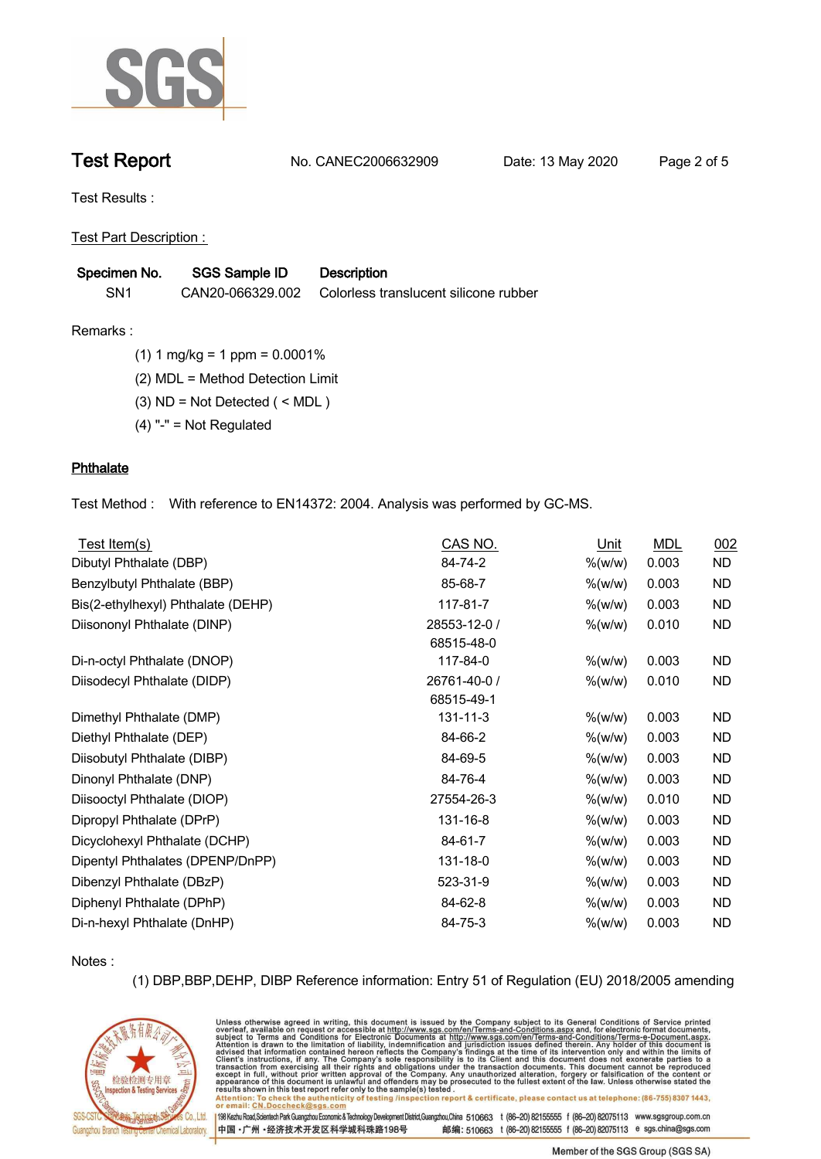

**Test Report. No. CANEC2006632909 Date: 13 May 2020 . Page 2 of 5.**

**Test Results :.**

**Test Part Description : .**

| Specimen No.    | <b>SGS Sample ID</b> | <b>Description</b>                    |
|-----------------|----------------------|---------------------------------------|
| SN <sub>1</sub> | CAN20-066329.002     | Colorless translucent silicone rubber |

**Remarks :.(1) 1 mg/kg = 1 ppm = 0.0001% .**

**(2) MDL = Method Detection Limit .**

**(3) ND = Not Detected ( < MDL ) .**

**(4) "-" = Not Regulated .**

## **Phthalate.**

**Test Method :. With reference to EN14372: 2004. Analysis was performed by GC-MS. .**

| Test Item(s)                       | CAS NO.                    | Unit       | <b>MDL</b> | 002       |
|------------------------------------|----------------------------|------------|------------|-----------|
| Dibutyl Phthalate (DBP)            | 84-74-2                    | $\%$ (w/w) | 0.003      | <b>ND</b> |
| Benzylbutyl Phthalate (BBP)        | 85-68-7                    | $\%$ (w/w) | 0.003      | <b>ND</b> |
| Bis(2-ethylhexyl) Phthalate (DEHP) | 117-81-7                   | % (w/w)    | 0.003      | <b>ND</b> |
| Diisononyl Phthalate (DINP)        | 28553-12-0 /<br>68515-48-0 | % (w/w)    | 0.010      | <b>ND</b> |
| Di-n-octyl Phthalate (DNOP)        | 117-84-0                   | $%$ (w/w)  | 0.003      | <b>ND</b> |
| Diisodecyl Phthalate (DIDP)        | 26761-40-0 /<br>68515-49-1 | $\%$ (w/w) | 0.010      | <b>ND</b> |
| Dimethyl Phthalate (DMP)           | $131 - 11 - 3$             | $%$ (w/w)  | 0.003      | <b>ND</b> |
| Diethyl Phthalate (DEP)            | 84-66-2                    | % (w/w)    | 0.003      | ND.       |
| Diisobutyl Phthalate (DIBP)        | 84-69-5                    | % (w/w)    | 0.003      | <b>ND</b> |
| Dinonyl Phthalate (DNP)            | 84-76-4                    | $\%$ (w/w) | 0.003      | <b>ND</b> |
| Diisooctyl Phthalate (DIOP)        | 27554-26-3                 | $\%$ (w/w) | 0.010      | <b>ND</b> |
| Dipropyl Phthalate (DPrP)          | 131-16-8                   | % (w/w)    | 0.003      | <b>ND</b> |
| Dicyclohexyl Phthalate (DCHP)      | 84-61-7                    | % (w/w)    | 0.003      | <b>ND</b> |
| Dipentyl Phthalates (DPENP/DnPP)   | 131-18-0                   | % (w/w)    | 0.003      | <b>ND</b> |
| Dibenzyl Phthalate (DBzP)          | 523-31-9                   | % (w/w)    | 0.003      | <b>ND</b> |
| Diphenyl Phthalate (DPhP)          | 84-62-8                    | % (w/w)    | 0.003      | ND.       |
| Di-n-hexyl Phthalate (DnHP)        | 84-75-3                    | $%$ (w/w)  | 0.003      | <b>ND</b> |

**Notes :.**

**(1) DBP,BBP,DEHP, DIBP Reference information: Entry 51 of Regulation (EU) 2018/2005 amending** 



Unless otherwise agreed in writing, this document is issued by the Company subject to its General Conditions of Service printed overleaf, available on request or accessible at http://www.sgs.com/en/Terms-and-Conditions.asp Attention: To check the authenticity of testing /inspection report & certificate, please contact us at telephone: (86-755) 8307 1443,<br>Attention: To check the authenticity of testing /inspection report & certificate, please

198 Kezhu Road,Scientech Park Guangzhou Economic & Technology Development District,Guangzhou,China 510663 t (86-20) 82155555 f (86-20) 82075113 www.sgsgroup.com.cn 邮编: 510663 t (86-20) 82155555 f (86-20) 82075113 e sgs.china@sgs.com 中国·广州·经济技术开发区科学城科珠路198号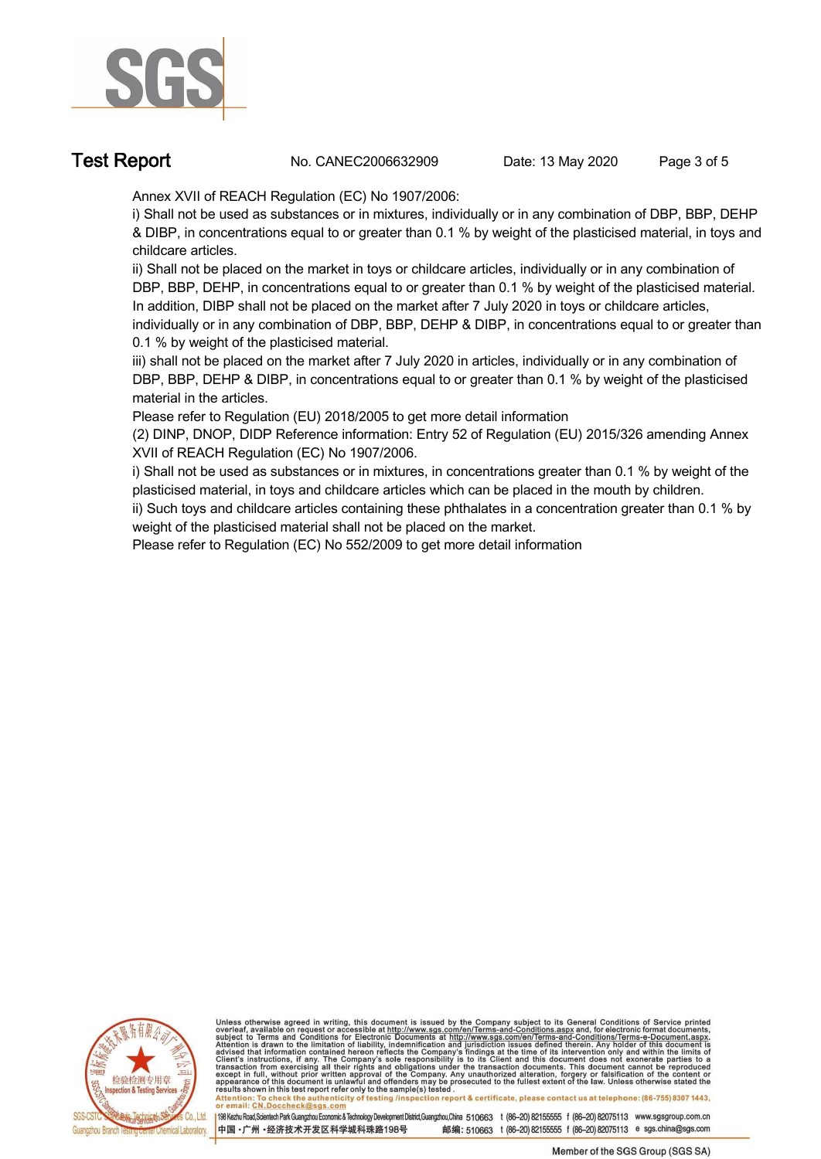

**Test Report No. CANEC2006632909** Date: 13 May 2020 Page 3 of 5

**Annex XVII of REACH Regulation (EC) No 1907/2006:** 

**i) Shall not be used as substances or in mixtures, individually or in any combination of DBP, BBP, DEHP & DIBP, in concentrations equal to or greater than 0.1 % by weight of the plasticised material, in toys and childcare articles.** 

**ii) Shall not be placed on the market in toys or childcare articles, individually or in any combination of DBP, BBP, DEHP, in concentrations equal to or greater than 0.1 % by weight of the plasticised material. In addition, DIBP shall not be placed on the market after 7 July 2020 in toys or childcare articles,** 

**individually or in any combination of DBP, BBP, DEHP & DIBP, in concentrations equal to or greater than 0.1 % by weight of the plasticised material.**

**iii) shall not be placed on the market after 7 July 2020 in articles, individually or in any combination of DBP, BBP, DEHP & DIBP, in concentrations equal to or greater than 0.1 % by weight of the plasticised material in the articles.**

**Please refer to Regulation (EU) 2018/2005 to get more detail information**

**(2) DINP, DNOP, DIDP Reference information: Entry 52 of Regulation (EU) 2015/326 amending Annex XVII of REACH Regulation (EC) No 1907/2006.** 

**i) Shall not be used as substances or in mixtures, in concentrations greater than 0.1 % by weight of the plasticised material, in toys and childcare articles which can be placed in the mouth by children.** 

**ii) Such toys and childcare articles containing these phthalates in a concentration greater than 0.1 % by weight of the plasticised material shall not be placed on the market.** 

**Please refer to Regulation (EC) No 552/2009 to get more detail information .**



Unless otherwise agreed in writing, this document is issued by the Company subject to its General Conditions of Service printed overleaf, available on request or accessible at http://www.sgs.com/en/Terms-and-Conditions.asp

resums shown in mas lost report tells with one sample(s) lesied .<br>Attention: To check the authenticity of testing /inspection report & certificate, please contact us at telephone: (86-755) 8307 1443,<br>or email: <u>CN.Doccheck</u>

198 Kezhu Road,Scientech Park Guangzhou Economic & Technology Development District,Guangzhou,China 510663 t (86-20) 82155555 f (86-20) 82075113 www.sgsgroup.com.cn 中国·广州·经济技术开发区科学城科珠路198号 邮编: 510663 t (86-20) 82155555 f (86-20) 82075113 e sgs.china@sgs.com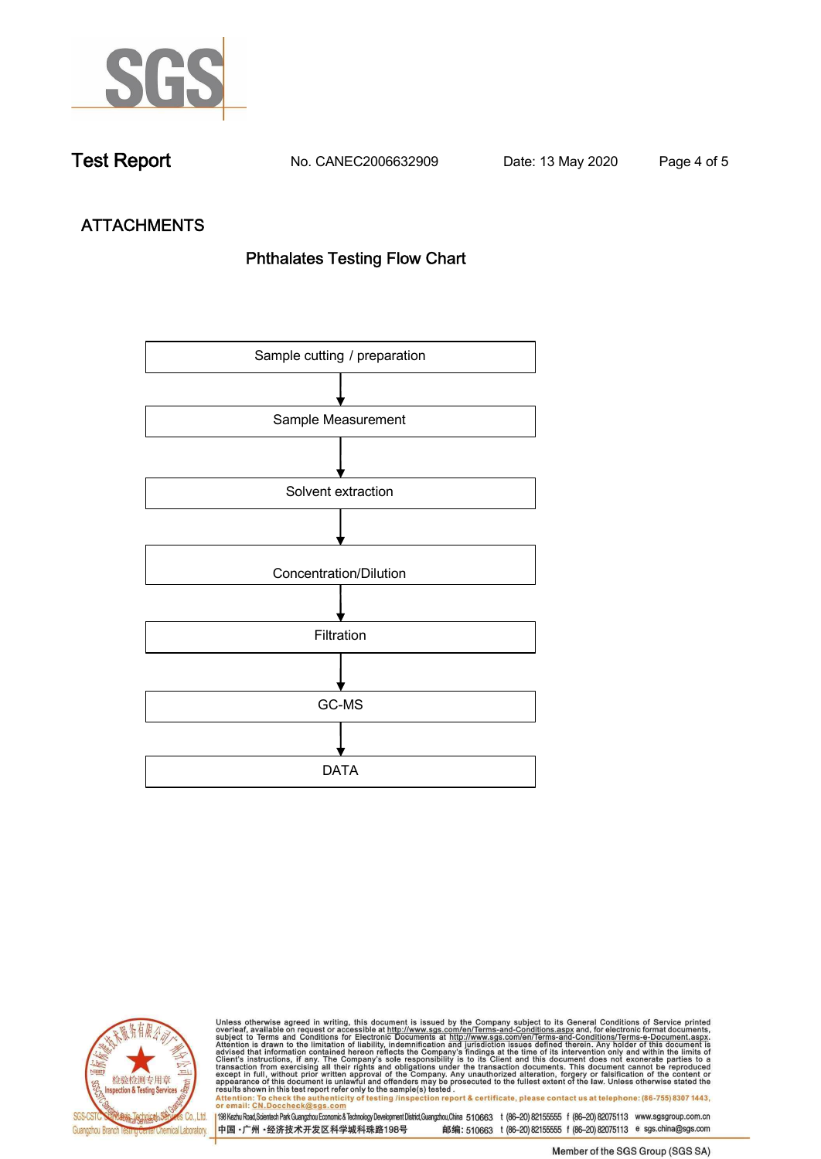

**Test Report. No. CANEC2006632909 Date: 13 May 2020 . Page 4 of 5.**

# **ATTACHMENTS Phthalates Testing Flow Chart**





Unless otherwise agreed in writing, this document is issued by the Company subject to its General Conditions of Service printed<br>overleaf, available on request or accessible at http://www.sgs.com/en/Terms-and-Conditions.asp results shown in this test report refer only to the sample(s) tested .<br>Attention: To check the authenticity of testing /inspection report & certificate, please contact us at telephone: (86-755) 8307 1443,<br>or email: <u>CN.Doc</u>

198 Kezhu Road,Scientech Park Guangzhou Economic & Technology Development District,Guangzhou,China 510663 t (86-20) 82155555 f (86-20) 82075113 www.sgsgroup.com.cn 中国·广州·经济技术开发区科学城科珠路198号 邮编: 510663 t (86-20) 82155555 f (86-20) 82075113 e sgs.china@sgs.com